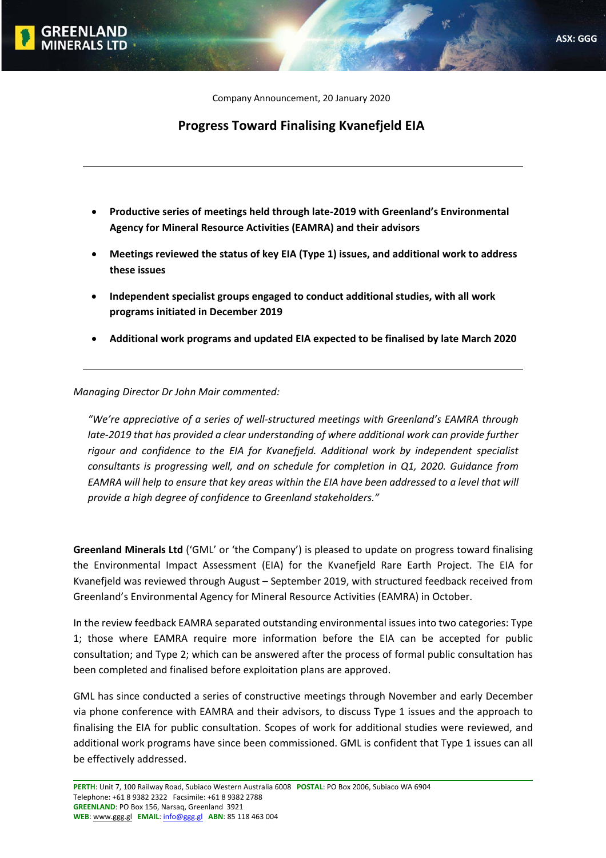Company Announcement, 20 January 2020

## **Progress Toward Finalising Kvanefjeld EIA**

- **Productive series of meetings held through late‐2019 with Greenland's Environmental Agency for Mineral Resource Activities (EAMRA) and their advisors**
- **Meetings reviewed the status of key EIA (Type 1) issues, and additional work to address these issues**
- **Independent specialist groups engaged to conduct additional studies, with all work programs initiated in December 2019**
- **Additional work programs and updated EIA expected to be finalised by late March 2020**

<u> 1980 - Andrea Barbara, amerikana amerikana amerikana amerikana amerikana amerikana amerikana amerikana amerik</u>

*Managing Director Dr John Mair commented:*

*"We're appreciative of a series of well‐structured meetings with Greenland's EAMRA through late‐2019 that has provided a clear understanding of where additional work can provide further rigour and confidence to the EIA for Kvanefjeld. Additional work by independent specialist consultants is progressing well, and on schedule for completion in Q1, 2020. Guidance from* EAMRA will help to ensure that key areas within the EIA have been addressed to a level that will *provide a high degree of confidence to Greenland stakeholders."*

**Greenland Minerals Ltd** ('GML' or 'the Company') is pleased to update on progress toward finalising the Environmental Impact Assessment (EIA) for the Kvanefjeld Rare Earth Project. The EIA for Kvanefjeld was reviewed through August – September 2019, with structured feedback received from Greenland's Environmental Agency for Mineral Resource Activities (EAMRA) in October.

In the review feedback EAMRA separated outstanding environmental issues into two categories: Type 1; those where EAMRA require more information before the EIA can be accepted for public consultation; and Type 2; which can be answered after the process of formal public consultation has been completed and finalised before exploitation plans are approved.

GML has since conducted a series of constructive meetings through November and early December via phone conference with EAMRA and their advisors, to discuss Type 1 issues and the approach to finalising the EIA for public consultation. Scopes of work for additional studies were reviewed, and additional work programs have since been commissioned. GML is confident that Type 1 issues can all be effectively addressed.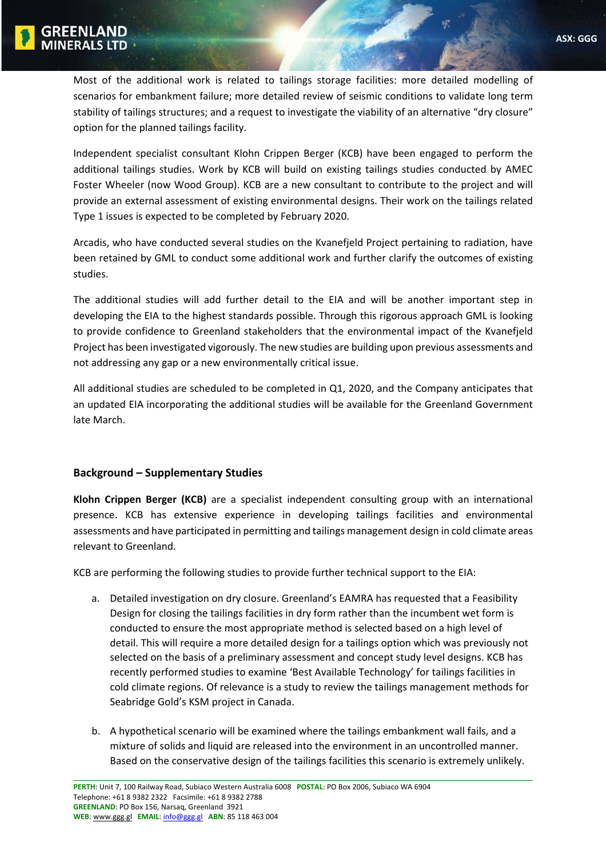Most of the additional work is related to tailings storage facilities: more detailed modelling of scenarios for embankment failure; more detailed review of seismic conditions to validate long term stability of tailings structures; and a request to investigate the viability of an alternative "dry closure" option for the planned tailings facility.

Independent specialist consultant Klohn Crippen Berger (KCB) have been engaged to perform the additional tailings studies. Work by KCB will build on existing tailings studies conducted by AMEC Foster Wheeler (now Wood Group). KCB are a new consultant to contribute to the project and will provide an external assessment of existing environmental designs. Their work on the tailings related Type 1 issues is expected to be completed by February 2020.

Arcadis, who have conducted several studies on the Kvanefjeld Project pertaining to radiation, have been retained by GML to conduct some additional work and further clarify the outcomes of existing studies.

The additional studies will add further detail to the EIA and will be another important step in developing the EIA to the highest standards possible. Through this rigorous approach GML is looking to provide confidence to Greenland stakeholders that the environmental impact of the Kvanefjeld Project has been investigated vigorously. The new studies are building upon previous assessments and not addressing any gap or a new environmentally critical issue.

All additional studies are scheduled to be completed in Q1, 2020, and the Company anticipates that an updated EIA incorporating the additional studies will be available for the Greenland Government late March.

## **Background – Supplementary Studies**

**Klohn Crippen Berger (KCB)** are a specialist independent consulting group with an international presence. KCB has extensive experience in developing tailings facilities and environmental assessments and have participated in permitting and tailings management design in cold climate areas relevant to Greenland.

KCB are performing the following studies to provide further technical support to the EIA:

- a. Detailed investigation on dry closure. Greenland's EAMRA has requested that a Feasibility Design for closing the tailings facilities in dry form rather than the incumbent wet form is conducted to ensure the most appropriate method is selected based on a high level of detail. This will require a more detailed design for a tailings option which was previously not selected on the basis of a preliminary assessment and concept study level designs. KCB has recently performed studies to examine 'Best Available Technology' for tailings facilities in cold climate regions. Of relevance is a study to review the tailings management methods for Seabridge Gold's KSM project in Canada.
- b. A hypothetical scenario will be examined where the tailings embankment wall fails, and a mixture of solids and liquid are released into the environment in an uncontrolled manner. Based on the conservative design of the tailings facilities this scenario is extremely unlikely.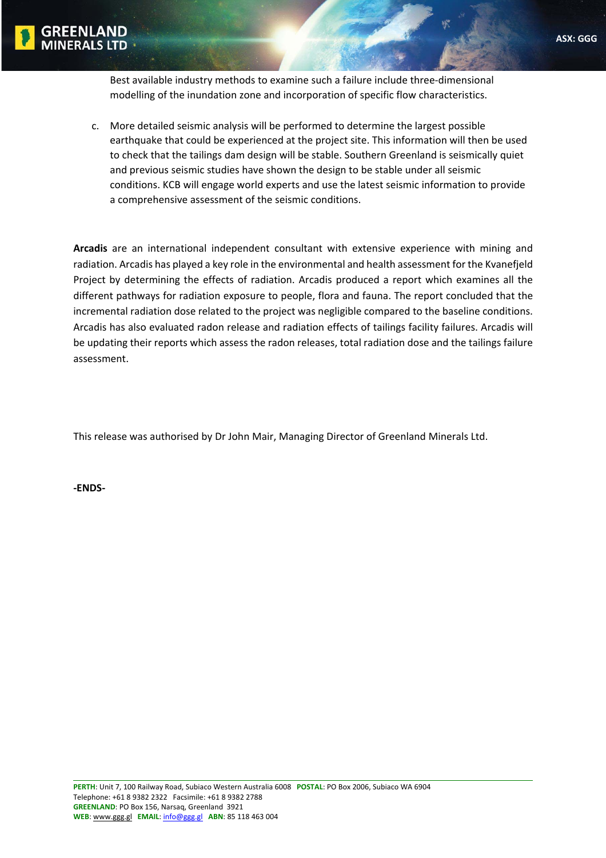

Best available industry methods to examine such a failure include three‐dimensional modelling of the inundation zone and incorporation of specific flow characteristics.

c. More detailed seismic analysis will be performed to determine the largest possible earthquake that could be experienced at the project site. This information will then be used to check that the tailings dam design will be stable. Southern Greenland is seismically quiet and previous seismic studies have shown the design to be stable under all seismic conditions. KCB will engage world experts and use the latest seismic information to provide a comprehensive assessment of the seismic conditions.

**Arcadis** are an international independent consultant with extensive experience with mining and radiation. Arcadis has played a key role in the environmental and health assessment for the Kvanefjeld Project by determining the effects of radiation. Arcadis produced a report which examines all the different pathways for radiation exposure to people, flora and fauna. The report concluded that the incremental radiation dose related to the project was negligible compared to the baseline conditions. Arcadis has also evaluated radon release and radiation effects of tailings facility failures. Arcadis will be updating their reports which assess the radon releases, total radiation dose and the tailings failure assessment.

This release was authorised by Dr John Mair, Managing Director of Greenland Minerals Ltd.

**‐ENDS‐**